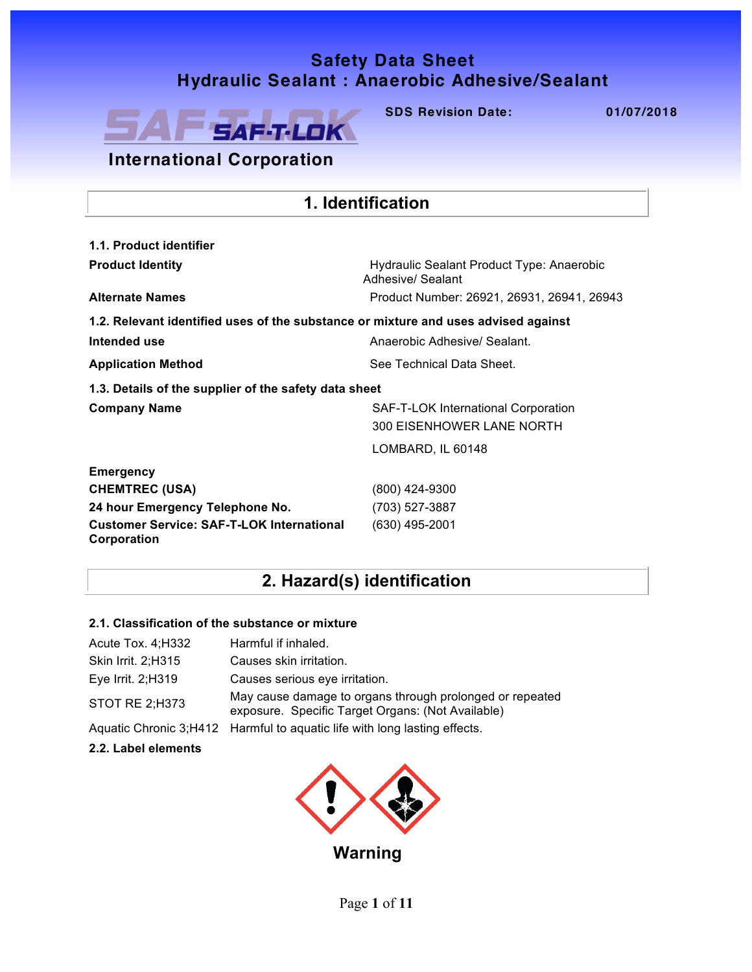## **Safety Data Sheet Safety Data Sheet Hydraulic Sealant : Anaerobic Adhesive/ Sealant Hydraulic Sealant : Anaerobic Adhesive/Sealant**



**SDS Revision Date: 01/07/2018 SDS Revision Date: 01/07/2018**

## **International Corporation**

| 1. Identification                                                                              |                                                                |  |  |  |  |
|------------------------------------------------------------------------------------------------|----------------------------------------------------------------|--|--|--|--|
| 1.1. Product identifier                                                                        |                                                                |  |  |  |  |
| <b>Product Identity</b>                                                                        | Hydraulic Sealant Product Type: Anaerobic<br>Adhesive/ Sealant |  |  |  |  |
| <b>Alternate Names</b>                                                                         | Product Number: 26921, 26931, 26941, 26943                     |  |  |  |  |
| 1.2. Relevant identified uses of the substance or mixture and uses advised against             |                                                                |  |  |  |  |
| Intended use                                                                                   | Anaerobic Adhesive/ Sealant                                    |  |  |  |  |
| <b>Application Method</b>                                                                      | See Technical Data Sheet.                                      |  |  |  |  |
| 1.3. Details of the supplier of the safety data sheet                                          |                                                                |  |  |  |  |
| <b>Company Name</b><br>SAF-T-LOK International Corporation<br><b>300 EISENHOWER LANE NORTH</b> |                                                                |  |  |  |  |
|                                                                                                | LOMBARD, IL 60148                                              |  |  |  |  |
| <b>Emergency</b>                                                                               |                                                                |  |  |  |  |
| <b>CHEMTREC (USA)</b>                                                                          | (800) 424-9300                                                 |  |  |  |  |
| 24 hour Emergency Telephone No.                                                                | (703) 527-3887                                                 |  |  |  |  |
| <b>Customer Service: SAF-T-LOK International</b><br>Corporation                                | (630) 495-2001                                                 |  |  |  |  |

## **2. Hazard(s) identification**

## **2.1. Classification of the substance or mixture**

| Acute Tox. 4; H332 | Harmful if inhaled.                                                                                           |
|--------------------|---------------------------------------------------------------------------------------------------------------|
| Skin Irrit. 2;H315 | Causes skin irritation.                                                                                       |
| Eye Irrit. 2; H319 | Causes serious eye irritation.                                                                                |
| STOT RE 2;H373     | May cause damage to organs through prolonged or repeated<br>exposure. Specific Target Organs: (Not Available) |
|                    | Aquatic Chronic 3; H412 Harmful to aquatic life with long lasting effects.                                    |

#### **2.2. Label elements**

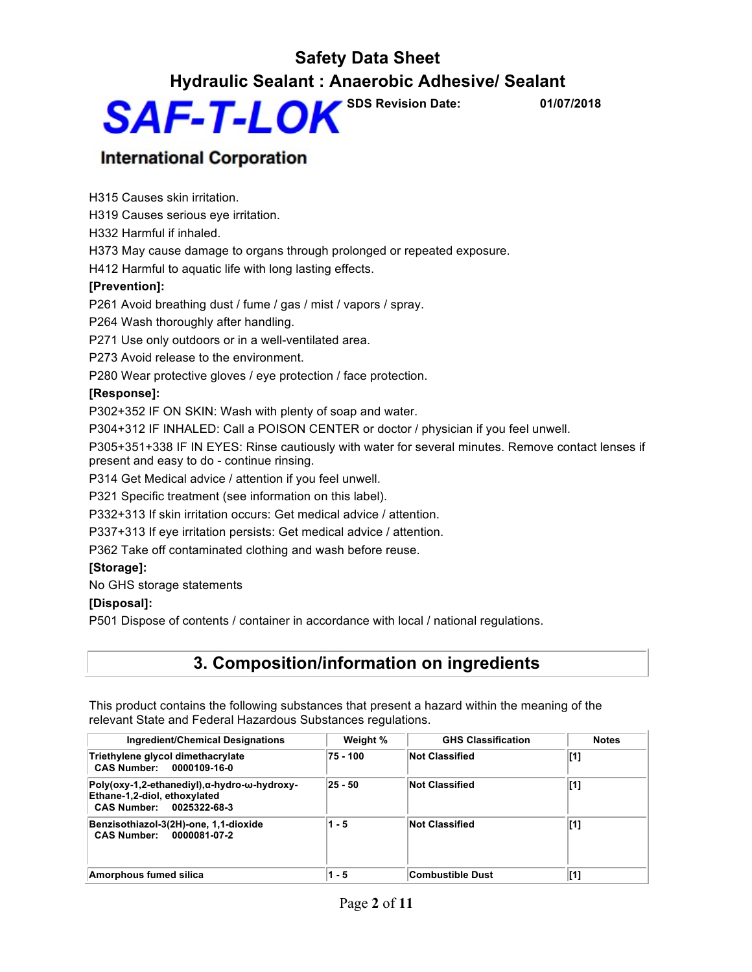## **Safety Data Sheet Hydraulic Sealant : Anaerobic Adhesive/ Sealant**



## **International Corporation**

H315 Causes skin irritation.

H319 Causes serious eye irritation.

H332 Harmful if inhaled.

H373 May cause damage to organs through prolonged or repeated exposure.

H412 Harmful to aquatic life with long lasting effects.

### **[Prevention]:**

P261 Avoid breathing dust / fume / gas / mist / vapors / spray.

P264 Wash thoroughly after handling.

P271 Use only outdoors or in a well-ventilated area.

P273 Avoid release to the environment.

P280 Wear protective gloves / eye protection / face protection.

### **[Response]:**

P302+352 IF ON SKIN: Wash with plenty of soap and water.

P304+312 IF INHALED: Call a POISON CENTER or doctor / physician if you feel unwell.

P305+351+338 IF IN EYES: Rinse cautiously with water for several minutes. Remove contact lenses if present and easy to do - continue rinsing.

P314 Get Medical advice / attention if you feel unwell.

P321 Specific treatment (see information on this label).

P332+313 If skin irritation occurs: Get medical advice / attention.

P337+313 If eye irritation persists: Get medical advice / attention.

P362 Take off contaminated clothing and wash before reuse.

### **[Storage]:**

No GHS storage statements

### **[Disposal]:**

P501 Dispose of contents / container in accordance with local / national regulations.

## **3. Composition/information on ingredients**

This product contains the following substances that present a hazard within the meaning of the relevant State and Federal Hazardous Substances regulations.

| Ingredient/Chemical Designations                                                                                   | Weight % | <b>GHS Classification</b> | <b>Notes</b> |
|--------------------------------------------------------------------------------------------------------------------|----------|---------------------------|--------------|
| Triethylene glycol dimethacrylate<br><b>CAS Number:</b><br>0000109-16-0                                            | 75 - 100 | <b>Not Classified</b>     | [1]          |
| Poly(oxy-1,2-ethanediyl), α-hydro-ω-hydroxy-<br>Ethane-1,2-diol, ethoxylated<br><b>CAS Number:</b><br>0025322-68-3 | 25 - 50  | <b>Not Classified</b>     | [1]          |
| Benzisothiazol-3(2H)-one, 1,1-dioxide<br><b>CAS Number:</b><br>0000081-07-2                                        | $1 - 5$  | <b>Not Classified</b>     | [1]          |
| Amorphous fumed silica                                                                                             | 1 - 5    | Combustible Dust          | [1]          |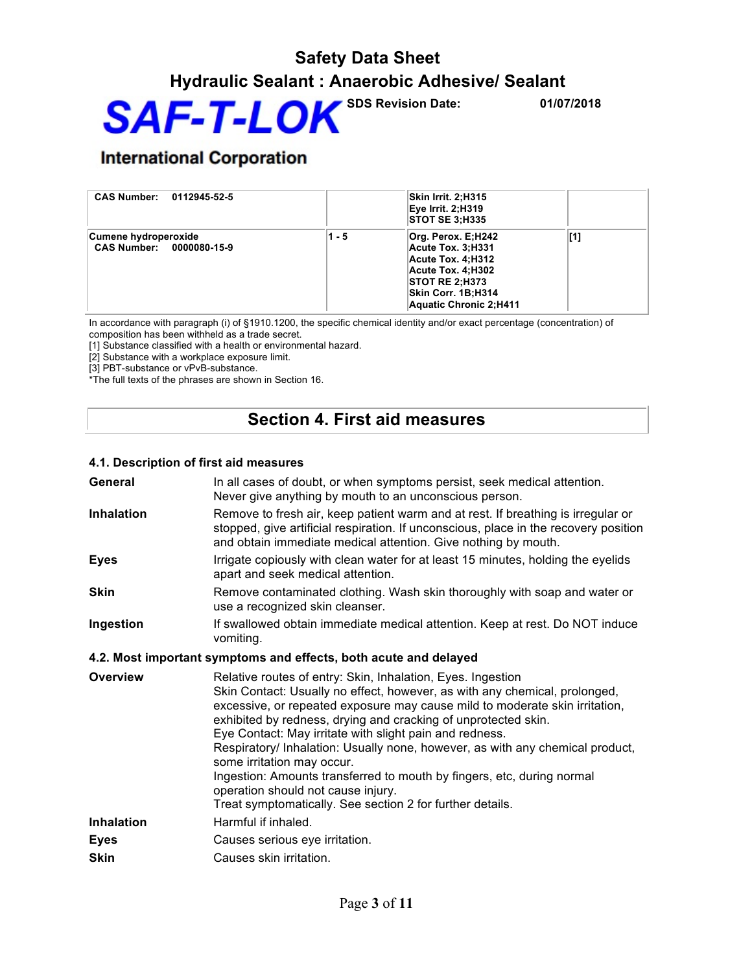

## **International Corporation**

| <b>CAS Number:</b><br>0112945-52-5               |       | Skin Irrit. 2;H315<br>Eye Irrit. 2:H319<br><b>STOT SE 3:H335</b>                                                                                           |     |
|--------------------------------------------------|-------|------------------------------------------------------------------------------------------------------------------------------------------------------------|-----|
| Cumene hydroperoxide<br>CAS Number: 0000080-15-9 | 1 - 5 | Org. Perox. E:H242<br>Acute Tox. 3;H331<br>Acute Tox. 4:H312<br>Acute Tox. 4:H302<br><b>STOT RE 2:H373</b><br>Skin Corr. 1B;H314<br>Aquatic Chronic 2:H411 | [1] |

In accordance with paragraph (i) of §1910.1200, the specific chemical identity and/or exact percentage (concentration) of composition has been withheld as a trade secret.

[1] Substance classified with a health or environmental hazard.

[2] Substance with a workplace exposure limit.

[3] PBT-substance or vPvB-substance.

\*The full texts of the phrases are shown in Section 16.

## **Section 4. First aid measures**

#### **4.1. Description of first aid measures**

| General           | In all cases of doubt, or when symptoms persist, seek medical attention.<br>Never give anything by mouth to an unconscious person.                                                                                                                                                                                                                                                                                                                                                                                                                                                                                                                |
|-------------------|---------------------------------------------------------------------------------------------------------------------------------------------------------------------------------------------------------------------------------------------------------------------------------------------------------------------------------------------------------------------------------------------------------------------------------------------------------------------------------------------------------------------------------------------------------------------------------------------------------------------------------------------------|
| <b>Inhalation</b> | Remove to fresh air, keep patient warm and at rest. If breathing is irregular or<br>stopped, give artificial respiration. If unconscious, place in the recovery position<br>and obtain immediate medical attention. Give nothing by mouth.                                                                                                                                                                                                                                                                                                                                                                                                        |
| <b>Eyes</b>       | Irrigate copiously with clean water for at least 15 minutes, holding the eyelids<br>apart and seek medical attention.                                                                                                                                                                                                                                                                                                                                                                                                                                                                                                                             |
| <b>Skin</b>       | Remove contaminated clothing. Wash skin thoroughly with soap and water or<br>use a recognized skin cleanser.                                                                                                                                                                                                                                                                                                                                                                                                                                                                                                                                      |
| Ingestion         | If swallowed obtain immediate medical attention. Keep at rest. Do NOT induce<br>vomiting.                                                                                                                                                                                                                                                                                                                                                                                                                                                                                                                                                         |
|                   | 4.2. Most important symptoms and effects, both acute and delayed                                                                                                                                                                                                                                                                                                                                                                                                                                                                                                                                                                                  |
| Overview          | Relative routes of entry: Skin, Inhalation, Eyes. Ingestion<br>Skin Contact: Usually no effect, however, as with any chemical, prolonged,<br>excessive, or repeated exposure may cause mild to moderate skin irritation,<br>exhibited by redness, drying and cracking of unprotected skin.<br>Eye Contact: May irritate with slight pain and redness.<br>Respiratory/ Inhalation: Usually none, however, as with any chemical product,<br>some irritation may occur.<br>Ingestion: Amounts transferred to mouth by fingers, etc, during normal<br>operation should not cause injury.<br>Treat symptomatically. See section 2 for further details. |
| <b>Inhalation</b> | Harmful if inhaled.                                                                                                                                                                                                                                                                                                                                                                                                                                                                                                                                                                                                                               |
| <b>Eyes</b>       | Causes serious eye irritation.                                                                                                                                                                                                                                                                                                                                                                                                                                                                                                                                                                                                                    |
| <b>Skin</b>       | Causes skin irritation.                                                                                                                                                                                                                                                                                                                                                                                                                                                                                                                                                                                                                           |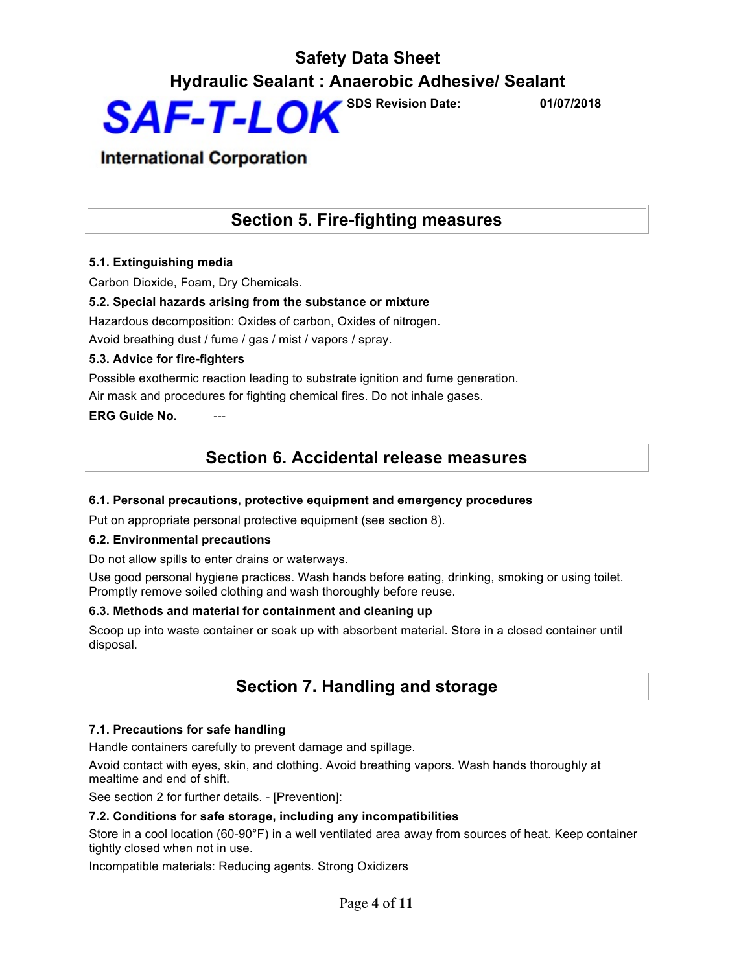## **International Corporation**

## **Section 5. Fire-fighting measures**

### **5.1. Extinguishing media**

Carbon Dioxide, Foam, Dry Chemicals.

### **5.2. Special hazards arising from the substance or mixture**

Hazardous decomposition: Oxides of carbon, Oxides of nitrogen. Avoid breathing dust / fume / gas / mist / vapors / spray.

#### **5.3. Advice for fire-fighters**

Possible exothermic reaction leading to substrate ignition and fume generation. Air mask and procedures for fighting chemical fires. Do not inhale gases.

**ERG Guide No.** 

## **Section 6. Accidental release measures**

#### **6.1. Personal precautions, protective equipment and emergency procedures**

Put on appropriate personal protective equipment (see section 8).

#### **6.2. Environmental precautions**

Do not allow spills to enter drains or waterways.

Use good personal hygiene practices. Wash hands before eating, drinking, smoking or using toilet. Promptly remove soiled clothing and wash thoroughly before reuse.

#### **6.3. Methods and material for containment and cleaning up**

Scoop up into waste container or soak up with absorbent material. Store in a closed container until disposal.

## **Section 7. Handling and storage**

#### **7.1. Precautions for safe handling**

Handle containers carefully to prevent damage and spillage.

Avoid contact with eyes, skin, and clothing. Avoid breathing vapors. Wash hands thoroughly at mealtime and end of shift.

See section 2 for further details. - [Prevention]:

#### **7.2. Conditions for safe storage, including any incompatibilities**

Store in a cool location (60-90°F) in a well ventilated area away from sources of heat. Keep container tightly closed when not in use.

Incompatible materials: Reducing agents. Strong Oxidizers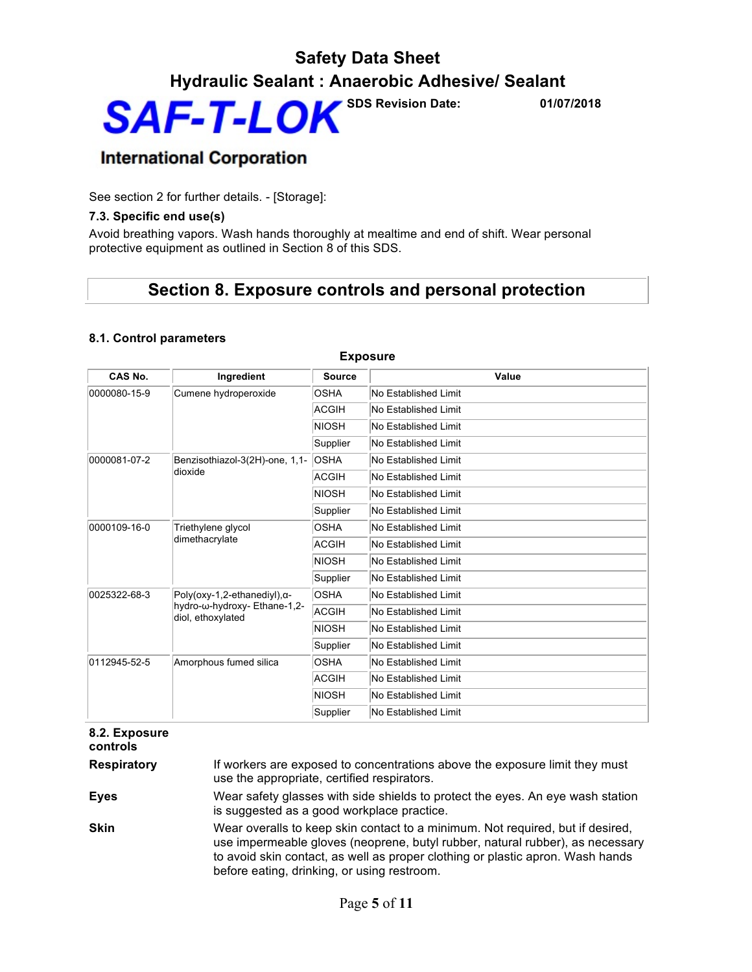## **International Corporation**

See section 2 for further details. - [Storage]:

#### **7.3. Specific end use(s)**

Avoid breathing vapors. Wash hands thoroughly at mealtime and end of shift. Wear personal protective equipment as outlined in Section 8 of this SDS.

## **Section 8. Exposure controls and personal protection**

### **8.1. Control parameters**

| CAS No.                                                                                                   | Ingredient                           | <b>Source</b>        | Value                |
|-----------------------------------------------------------------------------------------------------------|--------------------------------------|----------------------|----------------------|
| 0000080-15-9                                                                                              | Cumene hydroperoxide                 | <b>OSHA</b>          | No Established Limit |
|                                                                                                           |                                      | <b>ACGIH</b>         | No Established Limit |
|                                                                                                           |                                      | <b>NIOSH</b>         | No Established Limit |
|                                                                                                           |                                      | Supplier             | No Established Limit |
| 0000081-07-2                                                                                              | Benzisothiazol-3(2H)-one, 1,1-       | <b>OSHA</b>          | No Established Limit |
|                                                                                                           | dioxide                              | ACGIH                | No Established Limit |
|                                                                                                           |                                      | <b>NIOSH</b>         | No Established Limit |
|                                                                                                           |                                      | Supplier             | No Established Limit |
| 0000109-16-0                                                                                              | Triethylene glycol<br>dimethacrylate | <b>OSHA</b>          | No Established Limit |
|                                                                                                           |                                      | <b>ACGIH</b>         | No Established Limit |
|                                                                                                           |                                      | <b>NIOSH</b>         | No Established Limit |
|                                                                                                           |                                      | Supplier             | No Established Limit |
| 0025322-68-3<br>$Poly(oxy-1, 2-ethanediyl), \alpha-$<br>hydro-ω-hydroxy- Ethane-1,2-<br>diol, ethoxylated | <b>OSHA</b>                          | No Established Limit |                      |
|                                                                                                           |                                      | <b>ACGIH</b>         | No Established Limit |
|                                                                                                           |                                      | <b>NIOSH</b>         | No Established Limit |
|                                                                                                           |                                      | Supplier             | No Established Limit |
| 0112945-52-5                                                                                              | Amorphous fumed silica               | <b>OSHA</b>          | No Established Limit |
|                                                                                                           |                                      | <b>ACGIH</b>         | No Established Limit |
|                                                                                                           |                                      | <b>NIOSH</b>         | No Established Limit |
|                                                                                                           |                                      | Supplier             | No Established Limit |

## **Exposure**

#### **8.2. Exposure controls**

**Respiratory** If workers are exposed to concentrations above the exposure limit they must use the appropriate, certified respirators.

**Eyes** Wear safety glasses with side shields to protect the eyes. An eye wash station is suggested as a good workplace practice.

**Skin** Wear overalls to keep skin contact to a minimum. Not required, but if desired, use impermeable gloves (neoprene, butyl rubber, natural rubber), as necessary to avoid skin contact, as well as proper clothing or plastic apron. Wash hands before eating, drinking, or using restroom.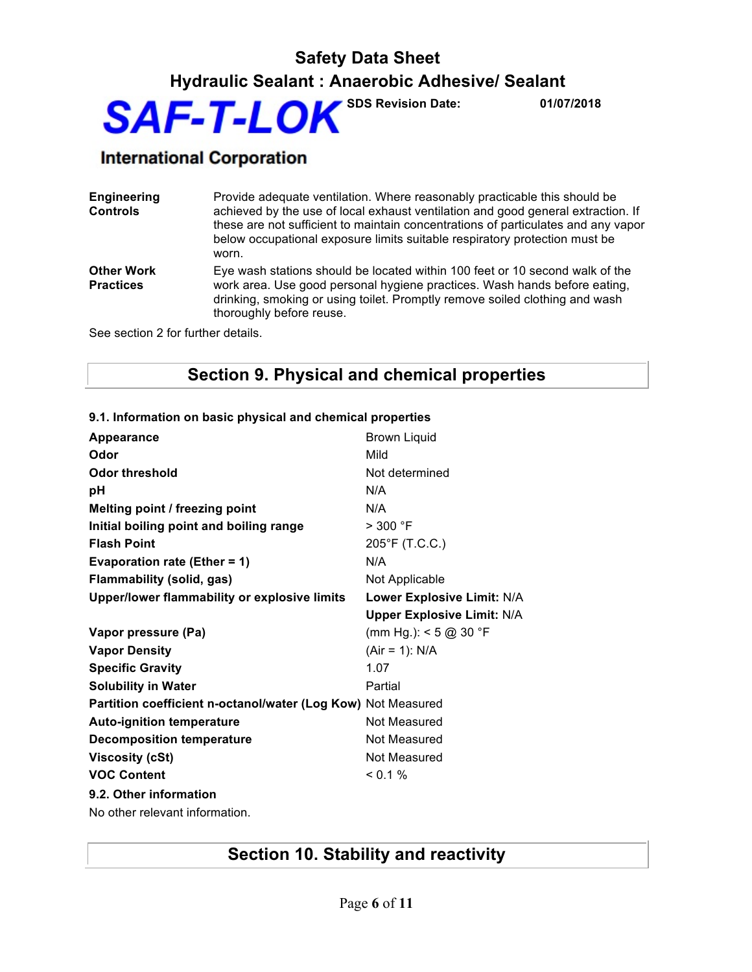## **International Corporation**

**Engineering Controls** Provide adequate ventilation. Where reasonably practicable this should be achieved by the use of local exhaust ventilation and good general extraction. If these are not sufficient to maintain concentrations of particulates and any vapor below occupational exposure limits suitable respiratory protection must be worn. **Other Work Practices** Eye wash stations should be located within 100 feet or 10 second walk of the work area. Use good personal hygiene practices. Wash hands before eating, drinking, smoking or using toilet. Promptly remove soiled clothing and wash

See section 2 for further details.

## **Section 9. Physical and chemical properties**

| <b>Appearance</b>                                            | Brown Liquid                      |
|--------------------------------------------------------------|-----------------------------------|
| Odor                                                         | Mild                              |
| <b>Odor threshold</b>                                        | Not determined                    |
| pH                                                           | N/A                               |
| Melting point / freezing point                               | N/A                               |
| Initial boiling point and boiling range                      | > 300 °F                          |
| <b>Flash Point</b>                                           | 205°F (T.C.C.)                    |
| <b>Evaporation rate (Ether = 1)</b>                          | N/A                               |
| <b>Flammability (solid, gas)</b>                             | Not Applicable                    |
| Upper/lower flammability or explosive limits                 | Lower Explosive Limit: N/A        |
|                                                              | <b>Upper Explosive Limit: N/A</b> |
| Vapor pressure (Pa)                                          | (mm Hg.): $<$ 5 @ 30 °F           |
| <b>Vapor Density</b>                                         | $(Air = 1): N/A$                  |
| <b>Specific Gravity</b>                                      | 1.07                              |
| <b>Solubility in Water</b>                                   | Partial                           |
| Partition coefficient n-octanol/water (Log Kow) Not Measured |                                   |
| <b>Auto-ignition temperature</b>                             | Not Measured                      |
| <b>Decomposition temperature</b>                             | Not Measured                      |
| <b>Viscosity (cSt)</b>                                       | Not Measured                      |
| <b>VOC Content</b>                                           | $< 0.1 \%$                        |
| 9.2. Other information                                       |                                   |
| No other relevant information.                               |                                   |

#### **9.1. Information on basic physical and chemical properties**

thoroughly before reuse.

## **Section 10. Stability and reactivity**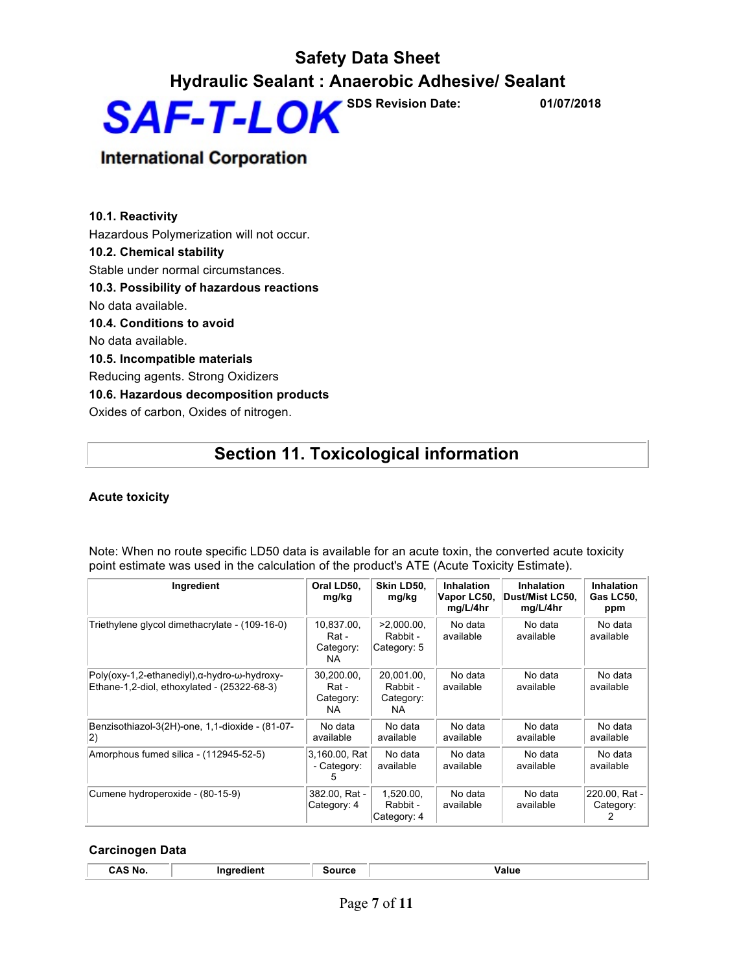## **International Corporation**

**10.1. Reactivity** Hazardous Polymerization will not occur. **10.2. Chemical stability** Stable under normal circumstances. **10.3. Possibility of hazardous reactions** No data available. **10.4. Conditions to avoid** No data available. **10.5. Incompatible materials** Reducing agents. Strong Oxidizers **10.6. Hazardous decomposition products** Oxides of carbon, Oxides of nitrogen.

## **Section 11. Toxicological information**

#### **Acute toxicity**

| Note: When no route specific LD50 data is available for an acute toxin, the converted acute toxicity |  |
|------------------------------------------------------------------------------------------------------|--|
| point estimate was used in the calculation of the product's ATE (Acute Toxicity Estimate).           |  |

| Ingredient                                                                                 | Oral LD50.<br>mg/kg                     | Skin LD50.<br>mg/kg                        | Inhalation<br>Vapor LC50,<br>mg/L/4hr | <b>Inhalation</b><br>Dust/Mist LC50,<br>mg/L/4hr | <b>Inhalation</b><br>Gas LC50,<br>ppm |
|--------------------------------------------------------------------------------------------|-----------------------------------------|--------------------------------------------|---------------------------------------|--------------------------------------------------|---------------------------------------|
| Triethylene glycol dimethacrylate - (109-16-0)                                             | 10,837.00,<br>Rat -<br>Category:<br>NA. | $>2,000.00$ ,<br>Rabbit -<br>Category: 5   | No data<br>available                  | No data<br>available                             | No data<br>available                  |
| Poly(oxy-1,2-ethanediyl),α-hydro-ω-hydroxy-<br>Ethane-1,2-diol, ethoxylated - (25322-68-3) | 30.200.00.<br>Rat -<br>Category:<br>NA. | 20.001.00.<br>Rabbit -<br>Category:<br>NA. | No data<br>available                  | No data<br>available                             | No data<br>available                  |
| Benzisothiazol-3(2H)-one, 1,1-dioxide - (81-07-<br> 2)                                     | No data<br>available                    | No data<br>available                       | No data<br>available                  | No data<br>available                             | No data<br>available                  |
| Amorphous fumed silica - (112945-52-5)                                                     | 3,160.00, Rat<br>- Category:            | No data<br>available                       | No data<br>available                  | No data<br>available                             | No data<br>available                  |
| Cumene hydroperoxide - (80-15-9)                                                           | 382.00, Rat -<br>Category: 4            | 1,520.00,<br>Rabbit -<br>Category: 4       | No data<br>available                  | No data<br>available                             | 220.00, Rat -<br>Category:            |

#### **Carcinogen Data**

|  | N.<br>. . |  | <br>. | <br>. |
|--|-----------|--|-------|-------|
|--|-----------|--|-------|-------|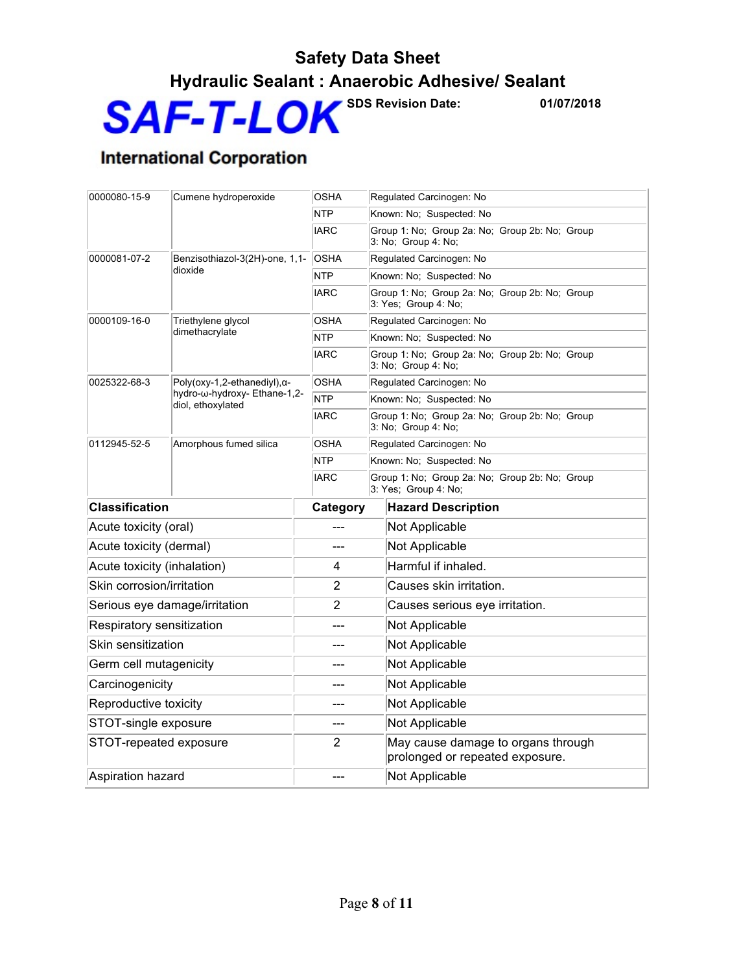## **Safety Data Sheet Hydraulic Sealant : Anaerobic Adhesive/ Sealant**



## **International Corporation**

| 0000080-15-9<br>Cumene hydroperoxide |                                                   | <b>OSHA</b>    | Regulated Carcinogen: No                                               |  |  |  |
|--------------------------------------|---------------------------------------------------|----------------|------------------------------------------------------------------------|--|--|--|
|                                      |                                                   | <b>NTP</b>     | Known: No: Suspected: No                                               |  |  |  |
|                                      |                                                   | <b>IARC</b>    | Group 1: No; Group 2a: No; Group 2b: No; Group<br>3: No: Group 4: No:  |  |  |  |
| 0000081-07-2                         | Benzisothiazol-3(2H)-one, 1,1-                    | <b>OSHA</b>    | Regulated Carcinogen: No                                               |  |  |  |
|                                      | dioxide                                           | <b>NTP</b>     | Known: No; Suspected: No                                               |  |  |  |
|                                      |                                                   | <b>IARC</b>    | Group 1: No; Group 2a: No; Group 2b: No; Group<br>3: Yes; Group 4: No; |  |  |  |
| 0000109-16-0                         | Triethylene glycol                                | <b>OSHA</b>    | Regulated Carcinogen: No                                               |  |  |  |
|                                      | dimethacrylate                                    | <b>NTP</b>     | Known: No; Suspected: No                                               |  |  |  |
|                                      |                                                   | <b>IARC</b>    | Group 1: No; Group 2a: No; Group 2b: No; Group<br>3: No; Group 4: No;  |  |  |  |
| 0025322-68-3                         | Poly(oxy-1,2-ethanediyl), $\alpha$ -              | <b>OSHA</b>    | Regulated Carcinogen: No                                               |  |  |  |
|                                      | hydro-ω-hydroxy- Ethane-1,2-<br>diol, ethoxylated | <b>NTP</b>     | Known: No; Suspected: No                                               |  |  |  |
|                                      |                                                   | <b>IARC</b>    | Group 1: No; Group 2a: No; Group 2b: No; Group<br>3: No; Group 4: No;  |  |  |  |
| 0112945-52-5                         | Amorphous fumed silica                            | <b>OSHA</b>    | Regulated Carcinogen: No                                               |  |  |  |
|                                      |                                                   | <b>NTP</b>     | Known: No; Suspected: No                                               |  |  |  |
|                                      |                                                   | <b>IARC</b>    | Group 1: No; Group 2a: No; Group 2b: No; Group<br>3: Yes; Group 4: No; |  |  |  |
| <b>Classification</b>                |                                                   | Category       | <b>Hazard Description</b>                                              |  |  |  |
| Acute toxicity (oral)                |                                                   |                | Not Applicable                                                         |  |  |  |
| Acute toxicity (dermal)              |                                                   |                | Not Applicable                                                         |  |  |  |
| Acute toxicity (inhalation)          |                                                   | 4              | Harmful if inhaled.                                                    |  |  |  |
| Skin corrosion/irritation            |                                                   | 2              | Causes skin irritation.                                                |  |  |  |
| Serious eye damage/irritation        |                                                   | $\overline{2}$ | Causes serious eye irritation.                                         |  |  |  |
| Respiratory sensitization            |                                                   | ---            | Not Applicable                                                         |  |  |  |
| Skin sensitization                   |                                                   | ---            | Not Applicable                                                         |  |  |  |
|                                      |                                                   |                |                                                                        |  |  |  |
| Germ cell mutagenicity               |                                                   | ---            | Not Applicable                                                         |  |  |  |
| Carcinogenicity                      |                                                   |                | Not Applicable                                                         |  |  |  |
| Reproductive toxicity                |                                                   | ---            | Not Applicable                                                         |  |  |  |
| STOT-single exposure                 |                                                   | ---            | Not Applicable                                                         |  |  |  |
| STOT-repeated exposure               |                                                   | $\overline{2}$ | May cause damage to organs through<br>prolonged or repeated exposure.  |  |  |  |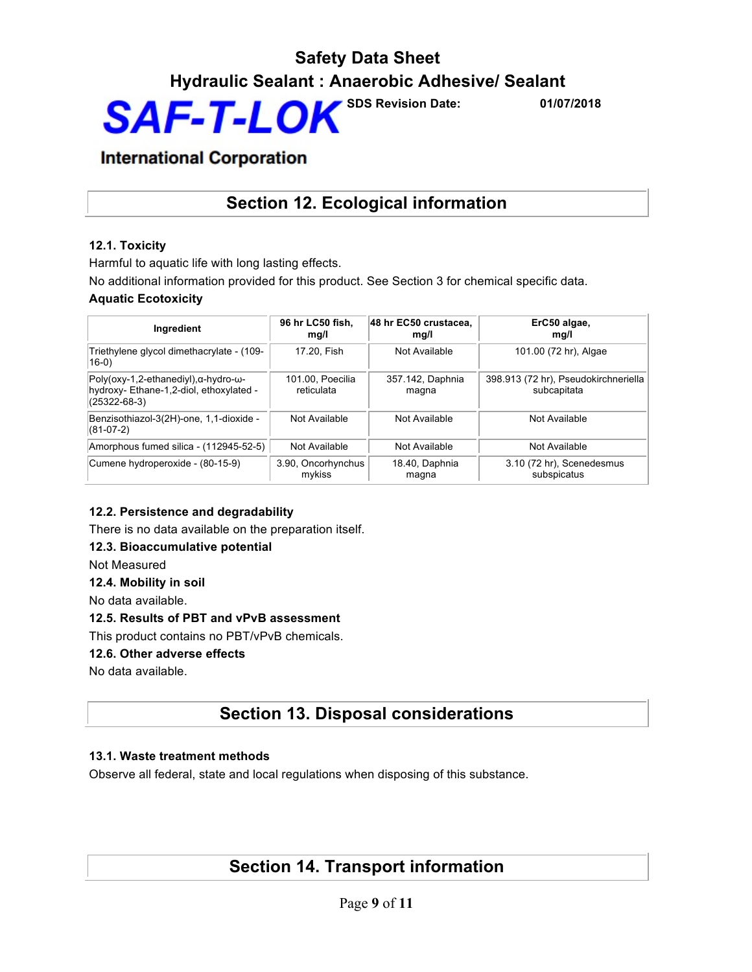## **International Corporation**

## **Section 12. Ecological information**

## **12.1. Toxicity**

Harmful to aquatic life with long lasting effects.

No additional information provided for this product. See Section 3 for chemical specific data.

### **Aquatic Ecotoxicity**

| Ingredient                                                                                                        | 96 hr LC50 fish.<br>mg/l       | 48 hr EC50 crustacea,<br>mg/l | ErC50 algae,<br>mq/l                                |
|-------------------------------------------------------------------------------------------------------------------|--------------------------------|-------------------------------|-----------------------------------------------------|
| Triethylene glycol dimethacrylate - (109-<br>$(16-0)$                                                             | 17.20. Fish                    | Not Available                 | 101.00 (72 hr), Algae                               |
| $Poly(oxy-1, 2-ethanedyl), \alpha-hydro-\omega-$<br>hydroxy- Ethane-1,2-diol, ethoxylated -<br>$(25322 - 68 - 3)$ | 101.00, Poecilia<br>reticulata | 357.142, Daphnia<br>magna     | 398.913 (72 hr), Pseudokirchneriella<br>subcapitata |
| Benzisothiazol-3(2H)-one, 1,1-dioxide -<br>$(81-07-2)$                                                            | Not Available                  | Not Available                 | Not Available                                       |
| Amorphous fumed silica - (112945-52-5)                                                                            | Not Available                  | Not Available                 | Not Available                                       |
| Cumene hydroperoxide - (80-15-9)                                                                                  | 3.90, Oncorhynchus<br>mykiss   | 18.40, Daphnia<br>magna       | 3.10 (72 hr), Scenedesmus<br>subspicatus            |

### **12.2. Persistence and degradability**

There is no data available on the preparation itself.

### **12.3. Bioaccumulative potential**

Not Measured

#### **12.4. Mobility in soil**

No data available.

### **12.5. Results of PBT and vPvB assessment**

This product contains no PBT/vPvB chemicals.

### **12.6. Other adverse effects**

No data available.

## **Section 13. Disposal considerations**

### **13.1. Waste treatment methods**

Observe all federal, state and local regulations when disposing of this substance.

## **Section 14. Transport information**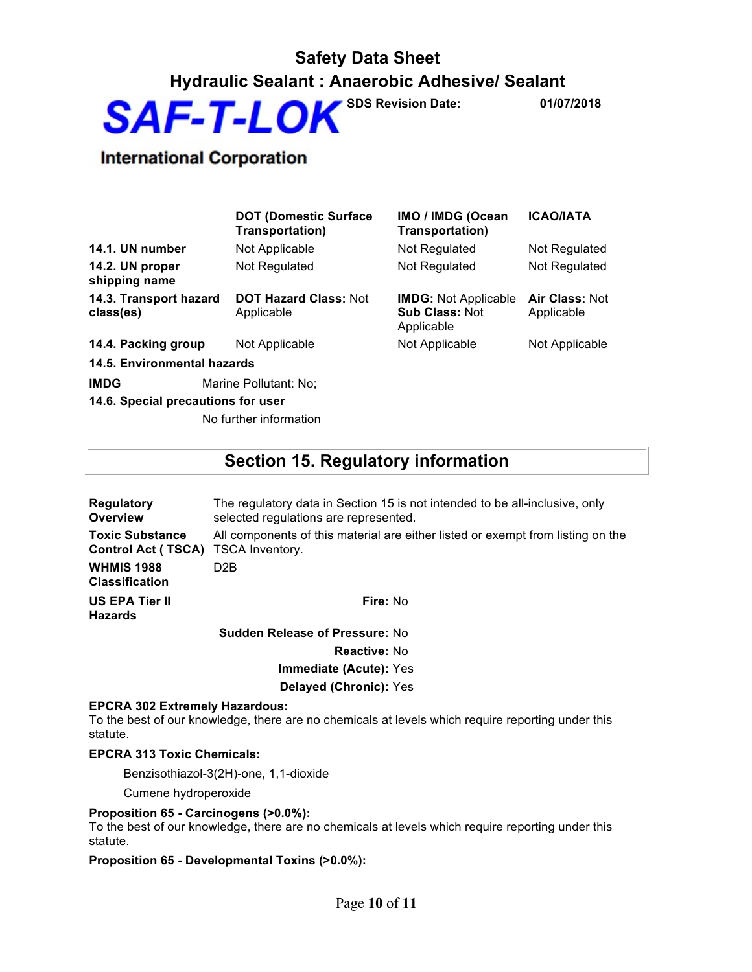## **Safety Data Sheet Hydraulic Sealant : Anaerobic Adhesive/ Sealant**



## **International Corporation**

|                                     | <b>DOT (Domestic Surface</b><br>Transportation) | IMO / IMDG (Ocean<br><b>Transportation)</b>                        | <b>ICAO/IATA</b>             |
|-------------------------------------|-------------------------------------------------|--------------------------------------------------------------------|------------------------------|
| 14.1. UN number                     | Not Applicable                                  | Not Regulated                                                      | Not Regulated                |
| 14.2. UN proper<br>shipping name    | Not Regulated                                   | Not Regulated                                                      | Not Regulated                |
| 14.3. Transport hazard<br>class(es) | <b>DOT Hazard Class: Not</b><br>Applicable      | <b>IMDG: Not Applicable</b><br><b>Sub Class: Not</b><br>Applicable | Air Class: Not<br>Applicable |
| 14.4. Packing group                 | Not Applicable                                  | Not Applicable                                                     | Not Applicable               |
| 14.5. Environmental hazards         |                                                 |                                                                    |                              |
| <b>IMDG</b>                         | Marine Pollutant: No;                           |                                                                    |                              |

**14.6. Special precautions for user**

No further information

## **Section 15. Regulatory information**

| <b>Regulatory</b><br>Overview                       | The regulatory data in Section 15 is not intended to be all-inclusive, only<br>selected regulations are represented. |  |
|-----------------------------------------------------|----------------------------------------------------------------------------------------------------------------------|--|
| <b>Toxic Substance</b><br><b>Control Act (TSCA)</b> | All components of this material are either listed or exempt from listing on the<br>TSCA Inventory.                   |  |
| <b>WHMIS 1988</b><br><b>Classification</b>          | D <sub>2</sub> B                                                                                                     |  |
| <b>US EPA Tier II</b><br><b>Hazards</b>             | Fire: No                                                                                                             |  |
|                                                     | <b>Sudden Release of Pressure: No</b>                                                                                |  |
|                                                     | <b>Reactive: No</b>                                                                                                  |  |
|                                                     | Immediate (Acute): Yes                                                                                               |  |
|                                                     | Delayed (Chronic): Yes                                                                                               |  |
| <b>EPCRA 302 Extremely Hazardous:</b>               |                                                                                                                      |  |

To the best of our knowledge, there are no chemicals at levels which require reporting under this statute.

#### **EPCRA 313 Toxic Chemicals:**

Benzisothiazol-3(2H)-one, 1,1-dioxide

Cumene hydroperoxide

#### **Proposition 65 - Carcinogens (>0.0%):**

To the best of our knowledge, there are no chemicals at levels which require reporting under this statute.

#### **Proposition 65 - Developmental Toxins (>0.0%):**